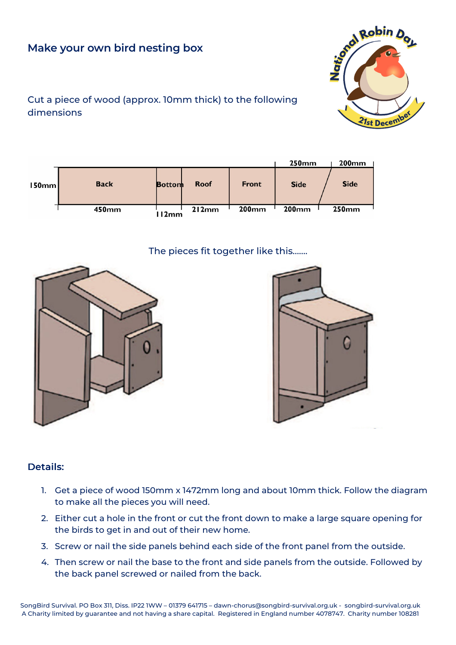# **Make your own bird nesting box**



## Cut a piece of wood (approx. 10mm thick) to the following dimensions

|          |             |               |             |              | <b>250mm</b> | $200$ mm     |
|----------|-------------|---------------|-------------|--------------|--------------|--------------|
| l 50mm l | <b>Back</b> | <b>Bottom</b> | <b>Roof</b> | <b>Front</b> | <b>Side</b>  | <b>Side</b>  |
|          | 450mm       | 112mm         | 212mm       | 200mm        | <b>200mm</b> | <b>250mm</b> |

#### The pieces fit together like this…….





# Details:

- 1. Get a piece of wood 150mm x 1472mm long and about 10mm thick. Follow the diagram to make all the pieces you will need.
- 2. Either cut a hole in the front or cut the front down to make a large square opening for the birds to get in and out of their new home.
- 3. Screw or nail the side panels behind each side of the front panel from the outside.
- 4. Then screw or nail the base to the front and side panels from the outside. Followed by the back panel screwed or nailed from the back.